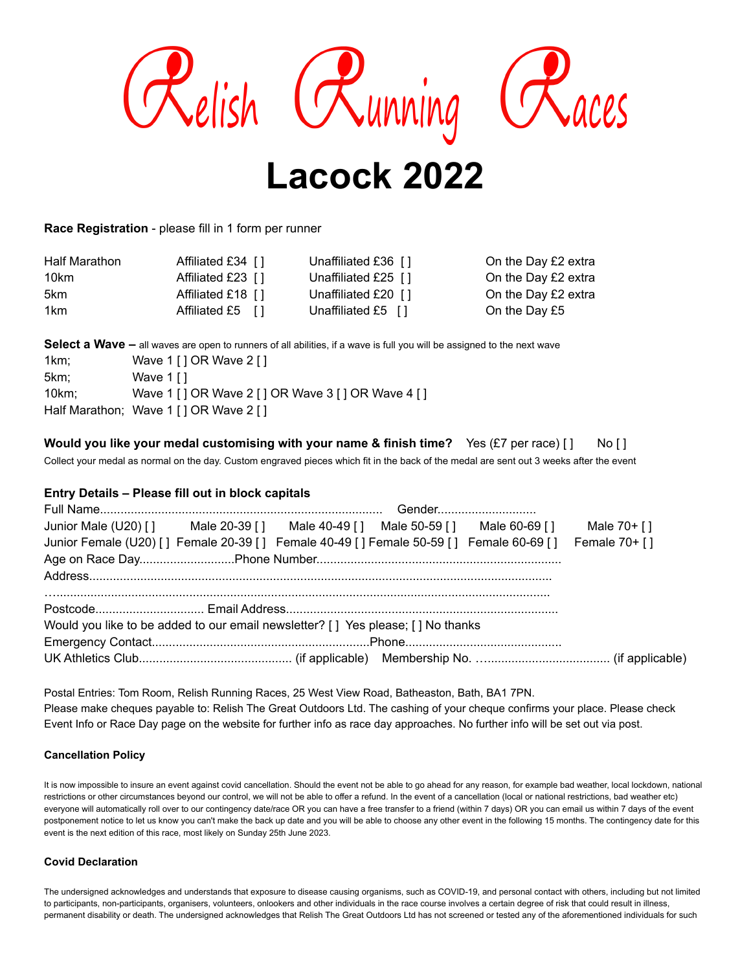

**Race Registration** - please fill in 1 form per runner

| Half Marathon | Affiliated £34 []  | Unaffiliated £36 [1] | On the Day £2 extra |
|---------------|--------------------|----------------------|---------------------|
| 10km          | Affiliated £23 [1] | Unaffiliated £25 [1] | On the Day £2 extra |
| 5km           | Affiliated £18 []  | Unaffiliated £20 [1] | On the Day £2 extra |
| 1km           | Affiliated £5 []   | Unaffiliated £5 [1]  | On the Day £5       |

**Select a Wave –** all waves are open to runners of all abilities, if a wave is full you will be assigned to the next wave

| Wave 1 [ ] OR Wave 2 [ ]                             |
|------------------------------------------------------|
| Wave 1 [ ]                                           |
| Wave 1 [ ] OR Wave 2 [ ] OR Wave 3 [ ] OR Wave 4 [ ] |
| Half Marathon; Wave 1 [] OR Wave 2 []                |
|                                                      |

| Would you like your medal customising with your name & finish time? Yes (£7 per race) [] No [] |  |  |
|------------------------------------------------------------------------------------------------|--|--|
|------------------------------------------------------------------------------------------------|--|--|

Collect your medal as normal on the day. Custom engraved pieces which fit in the back of the medal are sent out 3 weeks after the event

# **Entry Details – Please fill out in block capitals**

| Junior Male (U20) [] Male 20-39 [] Male 40-49 [] Male 50-59 [] Male 60-69 [] Male 70+ []             |  |  |  |
|------------------------------------------------------------------------------------------------------|--|--|--|
| Junior Female (U20) [] Female 20-39 [] Female 40-49 [] Female 50-59 [] Female 60-69 [] Female 70+ [] |  |  |  |
|                                                                                                      |  |  |  |
|                                                                                                      |  |  |  |
|                                                                                                      |  |  |  |
| Would you like to be added to our email newsletter? [ ] Yes please; [ ] No thanks                    |  |  |  |
|                                                                                                      |  |  |  |
|                                                                                                      |  |  |  |

Postal Entries: Tom Room, Relish Running Races, 25 West View Road, Batheaston, Bath, BA1 7PN. Please make cheques payable to: Relish The Great Outdoors Ltd. The cashing of your cheque confirms your place. Please check Event Info or Race Day page on the website for further info as race day approaches. No further info will be set out via post.

## **Cancellation Policy**

It is now impossible to insure an event against covid cancellation. Should the event not be able to go ahead for any reason, for example bad weather, local lockdown, national restrictions or other circumstances beyond our control, we will not be able to offer a refund. In the event of a cancellation (local or national restrictions, bad weather etc) everyone will automatically roll over to our contingency date/race OR you can have a free transfer to a friend (within 7 days) OR you can email us within 7 days of the event postponement notice to let us know you can't make the back up date and you will be able to choose any other event in the following 15 months. The contingency date for this event is the next edition of this race, most likely on Sunday 25th June 2023.

## **Covid Declaration**

The undersigned acknowledges and understands that exposure to disease causing organisms, such as COVID-19, and personal contact with others, including but not limited to participants, non-participants, organisers, volunteers, onlookers and other individuals in the race course involves a certain degree of risk that could result in illness, permanent disability or death. The undersigned acknowledges that Relish The Great Outdoors Ltd has not screened or tested any of the aforementioned individuals for such